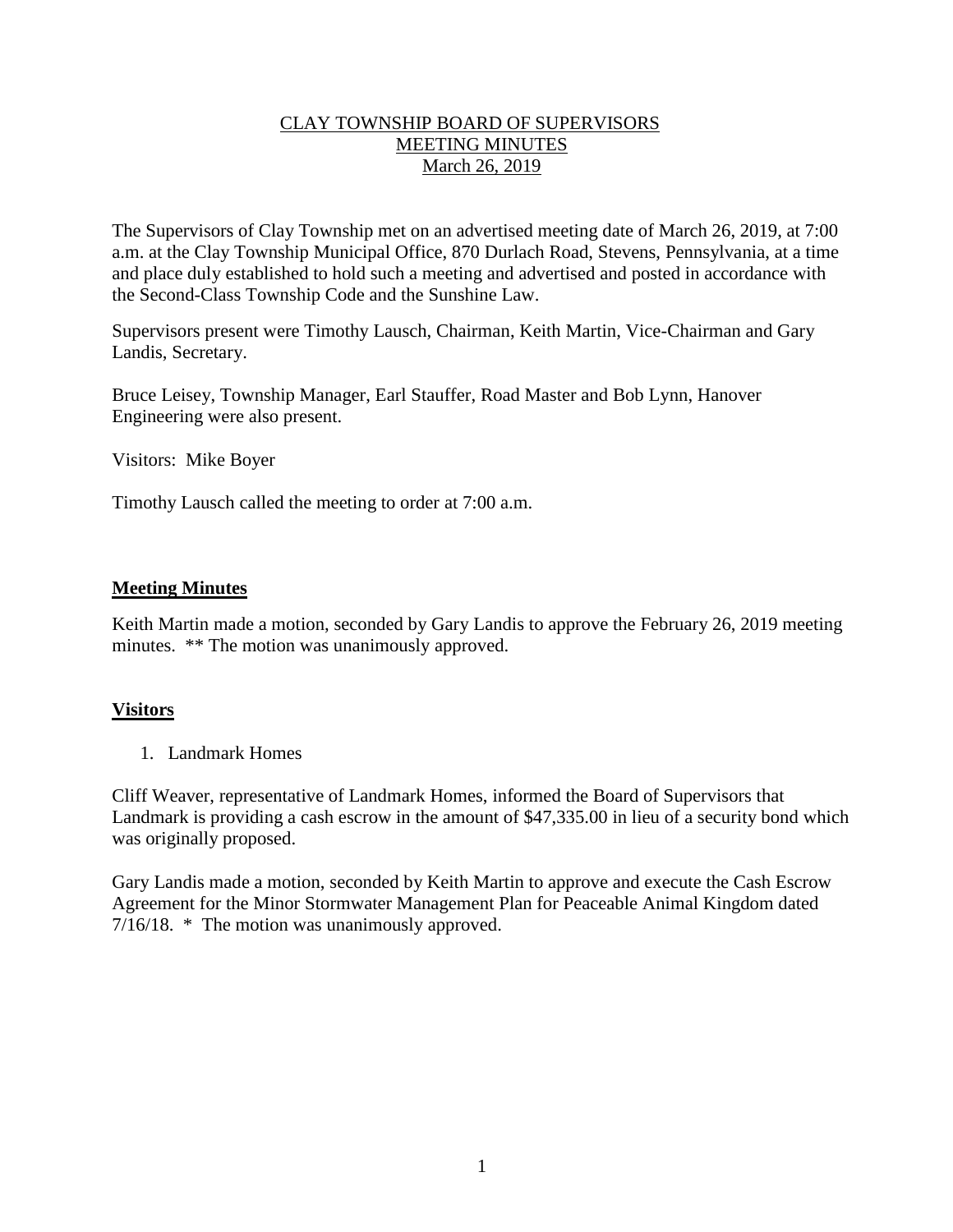## CLAY TOWNSHIP BOARD OF SUPERVISORS MEETING MINUTES March 26, 2019

The Supervisors of Clay Township met on an advertised meeting date of March 26, 2019, at 7:00 a.m. at the Clay Township Municipal Office, 870 Durlach Road, Stevens, Pennsylvania, at a time and place duly established to hold such a meeting and advertised and posted in accordance with the Second-Class Township Code and the Sunshine Law.

Supervisors present were Timothy Lausch, Chairman, Keith Martin, Vice-Chairman and Gary Landis, Secretary.

Bruce Leisey, Township Manager, Earl Stauffer, Road Master and Bob Lynn, Hanover Engineering were also present.

Visitors: Mike Boyer

Timothy Lausch called the meeting to order at 7:00 a.m.

## **Meeting Minutes**

Keith Martin made a motion, seconded by Gary Landis to approve the February 26, 2019 meeting minutes. \*\* The motion was unanimously approved.

# **Visitors**

1. Landmark Homes

Cliff Weaver, representative of Landmark Homes, informed the Board of Supervisors that Landmark is providing a cash escrow in the amount of \$47,335.00 in lieu of a security bond which was originally proposed.

Gary Landis made a motion, seconded by Keith Martin to approve and execute the Cash Escrow Agreement for the Minor Stormwater Management Plan for Peaceable Animal Kingdom dated 7/16/18. \* The motion was unanimously approved.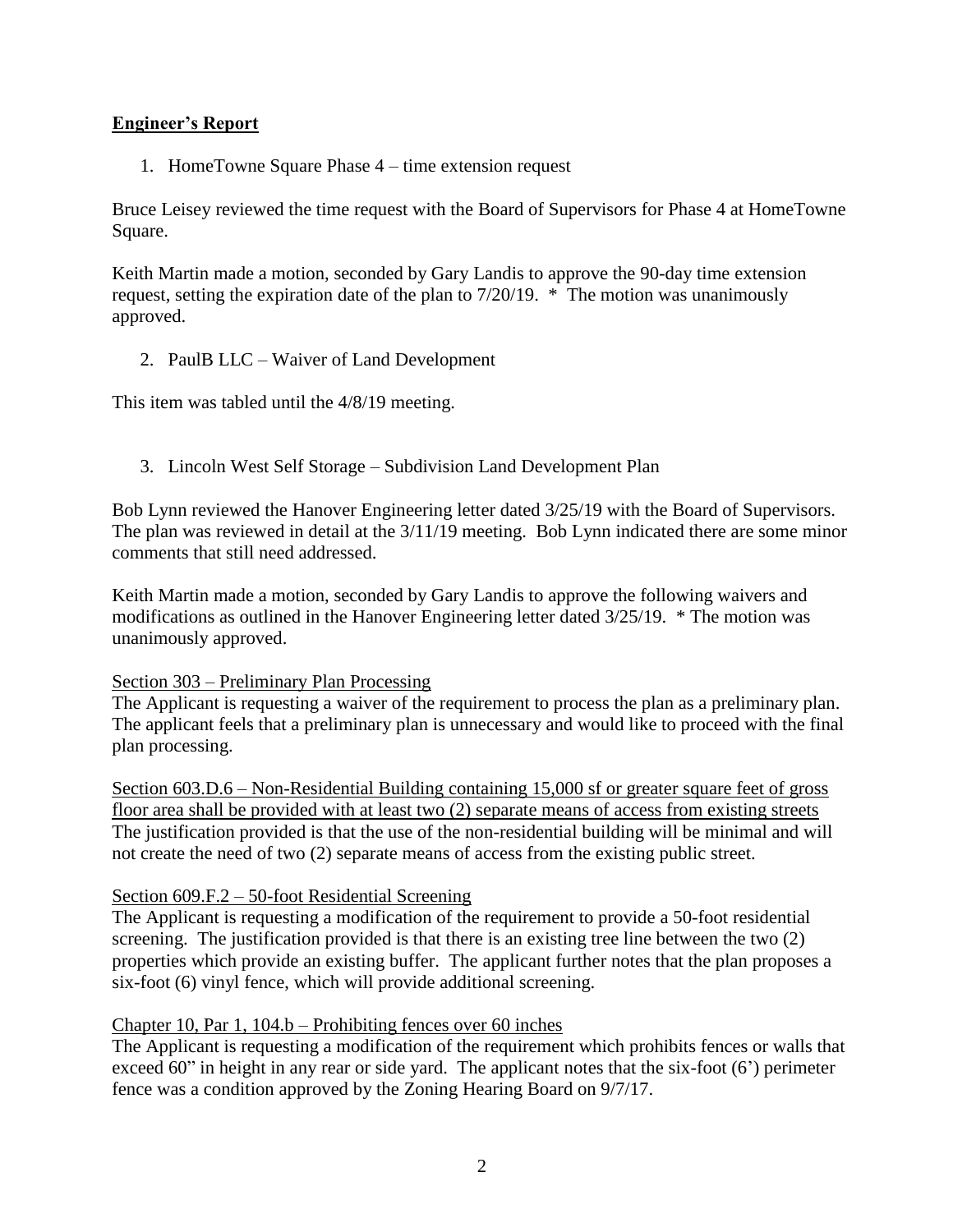# **Engineer's Report**

1. HomeTowne Square Phase 4 – time extension request

Bruce Leisey reviewed the time request with the Board of Supervisors for Phase 4 at HomeTowne Square.

Keith Martin made a motion, seconded by Gary Landis to approve the 90-day time extension request, setting the expiration date of the plan to 7/20/19. \* The motion was unanimously approved.

2. PaulB LLC – Waiver of Land Development

This item was tabled until the 4/8/19 meeting.

3. Lincoln West Self Storage – Subdivision Land Development Plan

Bob Lynn reviewed the Hanover Engineering letter dated 3/25/19 with the Board of Supervisors. The plan was reviewed in detail at the 3/11/19 meeting. Bob Lynn indicated there are some minor comments that still need addressed.

Keith Martin made a motion, seconded by Gary Landis to approve the following waivers and modifications as outlined in the Hanover Engineering letter dated 3/25/19. \* The motion was unanimously approved.

#### Section 303 – Preliminary Plan Processing

The Applicant is requesting a waiver of the requirement to process the plan as a preliminary plan. The applicant feels that a preliminary plan is unnecessary and would like to proceed with the final plan processing.

Section 603.D.6 – Non-Residential Building containing 15,000 sf or greater square feet of gross floor area shall be provided with at least two (2) separate means of access from existing streets The justification provided is that the use of the non-residential building will be minimal and will not create the need of two (2) separate means of access from the existing public street.

#### Section 609.F.2 – 50-foot Residential Screening

The Applicant is requesting a modification of the requirement to provide a 50-foot residential screening. The justification provided is that there is an existing tree line between the two (2) properties which provide an existing buffer. The applicant further notes that the plan proposes a six-foot (6) vinyl fence, which will provide additional screening.

#### Chapter 10, Par 1, 104.b – Prohibiting fences over 60 inches

The Applicant is requesting a modification of the requirement which prohibits fences or walls that exceed 60" in height in any rear or side yard. The applicant notes that the six-foot (6') perimeter fence was a condition approved by the Zoning Hearing Board on 9/7/17.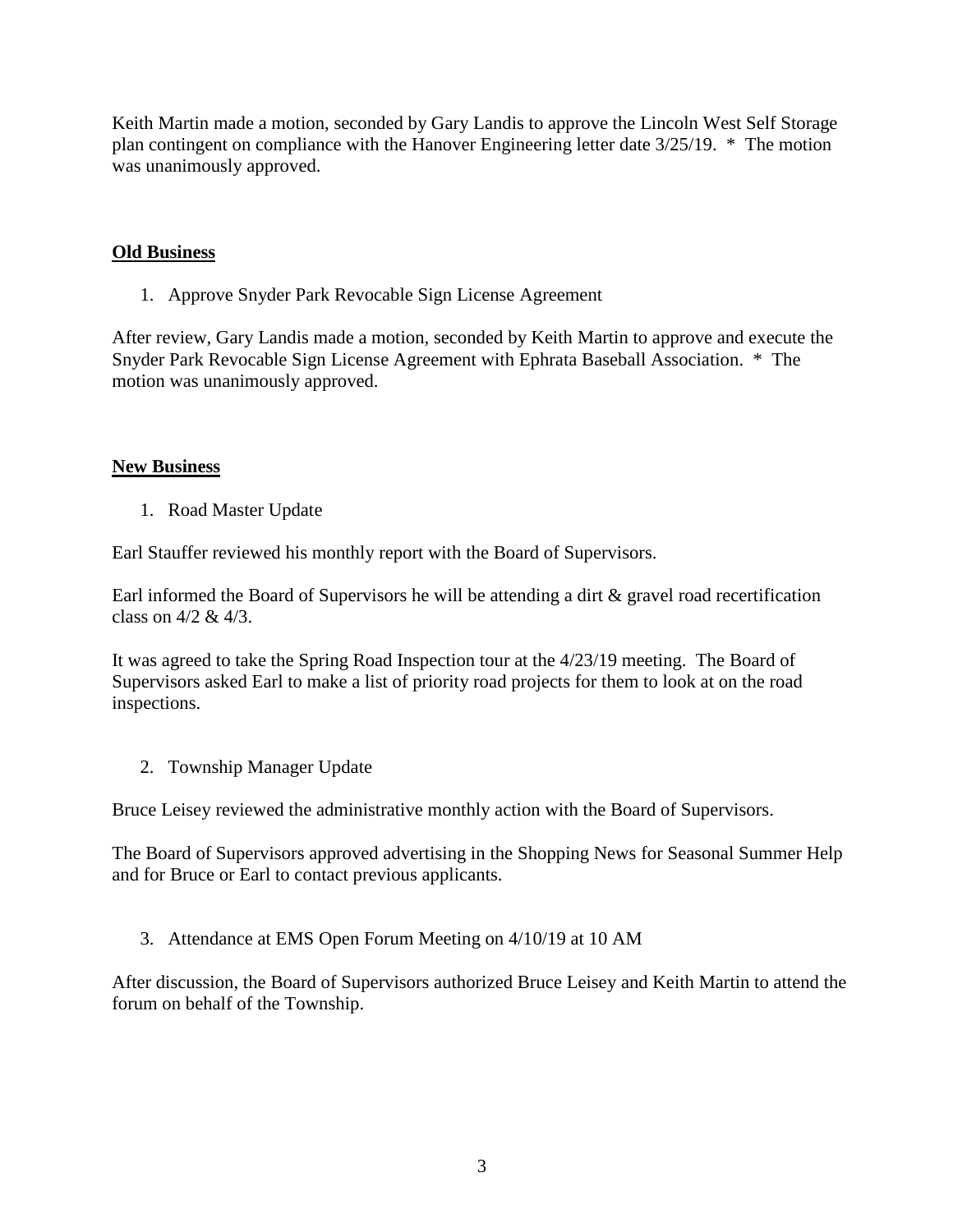Keith Martin made a motion, seconded by Gary Landis to approve the Lincoln West Self Storage plan contingent on compliance with the Hanover Engineering letter date 3/25/19. \* The motion was unanimously approved.

## **Old Business**

1. Approve Snyder Park Revocable Sign License Agreement

After review, Gary Landis made a motion, seconded by Keith Martin to approve and execute the Snyder Park Revocable Sign License Agreement with Ephrata Baseball Association. \* The motion was unanimously approved.

## **New Business**

1. Road Master Update

Earl Stauffer reviewed his monthly report with the Board of Supervisors.

Earl informed the Board of Supervisors he will be attending a dirt & gravel road recertification class on 4/2 & 4/3.

It was agreed to take the Spring Road Inspection tour at the 4/23/19 meeting. The Board of Supervisors asked Earl to make a list of priority road projects for them to look at on the road inspections.

2. Township Manager Update

Bruce Leisey reviewed the administrative monthly action with the Board of Supervisors.

The Board of Supervisors approved advertising in the Shopping News for Seasonal Summer Help and for Bruce or Earl to contact previous applicants.

3. Attendance at EMS Open Forum Meeting on 4/10/19 at 10 AM

After discussion, the Board of Supervisors authorized Bruce Leisey and Keith Martin to attend the forum on behalf of the Township.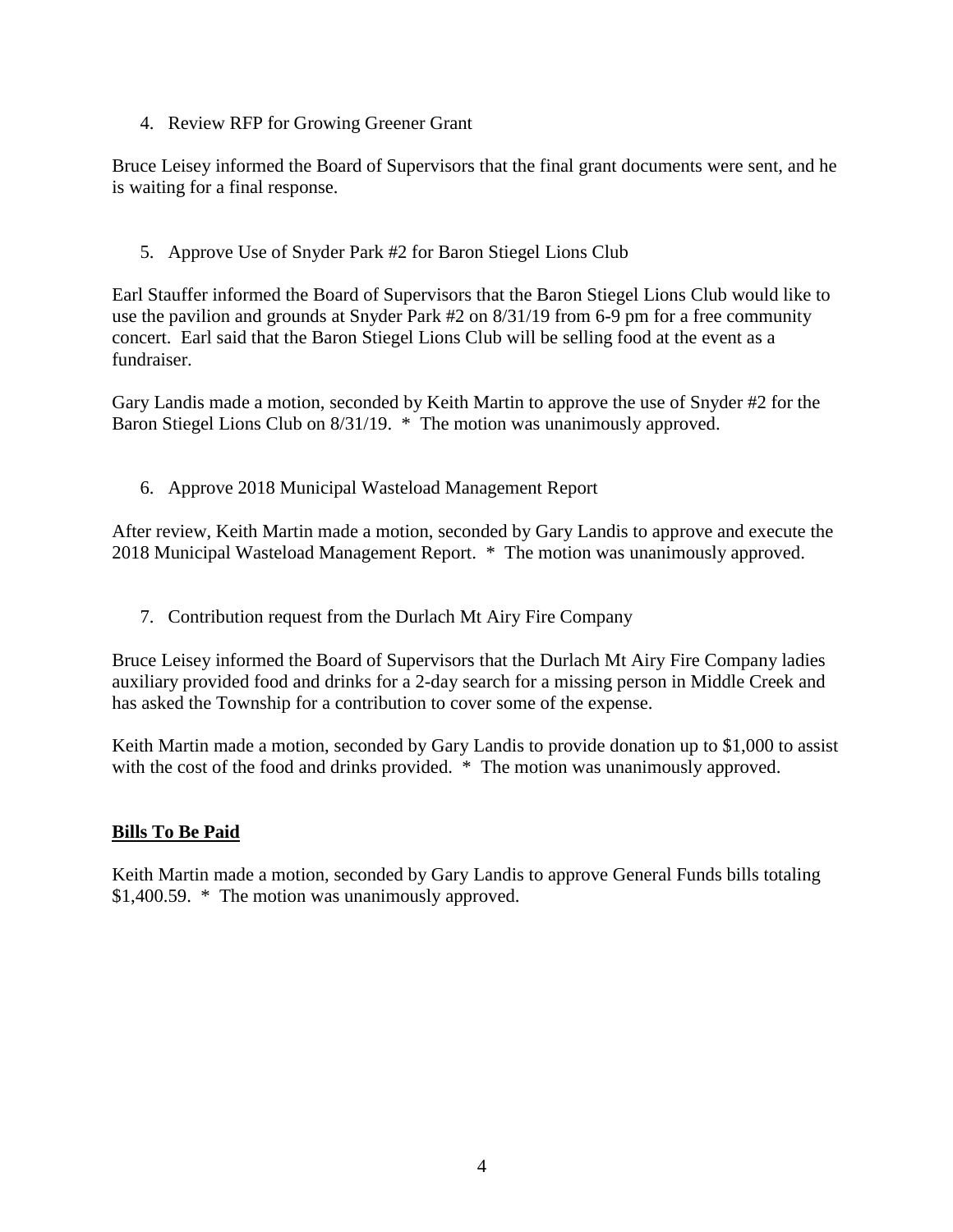4. Review RFP for Growing Greener Grant

Bruce Leisey informed the Board of Supervisors that the final grant documents were sent, and he is waiting for a final response.

5. Approve Use of Snyder Park #2 for Baron Stiegel Lions Club

Earl Stauffer informed the Board of Supervisors that the Baron Stiegel Lions Club would like to use the pavilion and grounds at Snyder Park #2 on 8/31/19 from 6-9 pm for a free community concert. Earl said that the Baron Stiegel Lions Club will be selling food at the event as a fundraiser.

Gary Landis made a motion, seconded by Keith Martin to approve the use of Snyder #2 for the Baron Stiegel Lions Club on 8/31/19. \* The motion was unanimously approved.

6. Approve 2018 Municipal Wasteload Management Report

After review, Keith Martin made a motion, seconded by Gary Landis to approve and execute the 2018 Municipal Wasteload Management Report. \* The motion was unanimously approved.

7. Contribution request from the Durlach Mt Airy Fire Company

Bruce Leisey informed the Board of Supervisors that the Durlach Mt Airy Fire Company ladies auxiliary provided food and drinks for a 2-day search for a missing person in Middle Creek and has asked the Township for a contribution to cover some of the expense.

Keith Martin made a motion, seconded by Gary Landis to provide donation up to \$1,000 to assist with the cost of the food and drinks provided. \* The motion was unanimously approved.

# **Bills To Be Paid**

Keith Martin made a motion, seconded by Gary Landis to approve General Funds bills totaling \$1,400.59. \* The motion was unanimously approved.